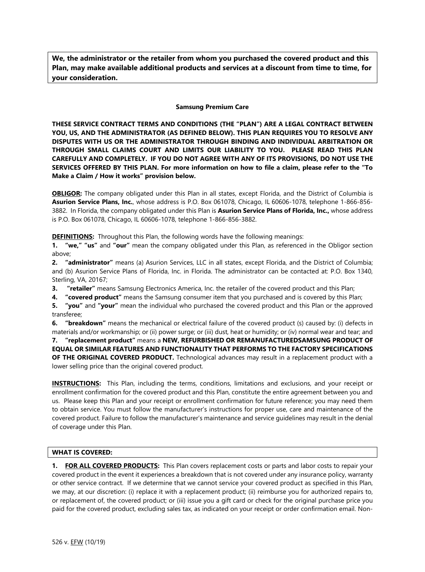**We, the administrator or the retailer from whom you purchased the covered product and this Plan, may make available additional products and services at a discount from time to time, for your consideration.**

#### **Samsung Premium Care**

**THESE SERVICE CONTRACT TERMS AND CONDITIONS (THE "PLAN") ARE A LEGAL CONTRACT BETWEEN YOU, US, AND THE ADMINISTRATOR (AS DEFINED BELOW). THIS PLAN REQUIRES YOU TO RESOLVE ANY DISPUTES WITH US OR THE ADMINISTRATOR THROUGH BINDING AND INDIVIDUAL ARBITRATION OR THROUGH SMALL CLAIMS COURT AND LIMITS OUR LIABILITY TO YOU. PLEASE READ THIS PLAN CAREFULLY AND COMPLETELY. IF YOU DO NOT AGREE WITH ANY OF ITS PROVISIONS, DO NOT USE THE SERVICES OFFERED BY THIS PLAN. For more information on how to file a claim, please refer to the "To Make a Claim / How it works" provision below.**

**OBLIGOR:** The company obligated under this Plan in all states, except Florida, and the District of Columbia is **Asurion Service Plans, Inc.**, whose address is P.O. Box 061078, Chicago, IL 60606-1078, telephone 1-866-856- 3882. In Florida, the company obligated under this Plan is **Asurion Service Plans of Florida, Inc.,** whose address is P.O. Box 061078, Chicago, IL 60606-1078, telephone 1-866-856-3882.

**DEFINITIONS:** Throughout this Plan, the following words have the following meanings:

**1. "we," "us"** and **"our"** mean the company obligated under this Plan, as referenced in the Obligor section above;

**2. "administrator"** means (a) Asurion Services, LLC in all states, except Florida, and the District of Columbia; and (b) Asurion Service Plans of Florida, Inc. in Florida. The administrator can be contacted at: P.O. Box 1340, Sterling, VA, 20167;

**3. "retailer"** means Samsung Electronics America, Inc. the retailer of the covered product and this Plan;

**4. "covered product"** means the Samsung consumer item that you purchased and is covered by this Plan;

**5. "you"** and **"your"** mean the individual who purchased the covered product and this Plan or the approved transferee;

**6. "breakdown"** means the mechanical or electrical failure of the covered product (s) caused by: (i) defects in materials and/or workmanship; or (ii) power surge; or (iii) dust, heat or humidity; or (iv) normal wear and tear; and

**7. "replacement product"** means a **NEW, REFURBISHED OR REMANUFACTUREDSAMSUNG PRODUCT OF EQUAL OR SIMILAR FEATURES AND FUNCTIONALITY THAT PERFORMS TO THE FACTORY SPECIFICATIONS OF THE ORIGINAL COVERED PRODUCT.** Technological advances may result in a replacement product with a lower selling price than the original covered product.

**INSTRUCTIONS:** This Plan, including the terms, conditions, limitations and exclusions, and your receipt or enrollment confirmation for the covered product and this Plan, constitute the entire agreement between you and us. Please keep this Plan and your receipt or enrollment confirmation for future reference; you may need them to obtain service. You must follow the manufacturer's instructions for proper use, care and maintenance of the covered product. Failure to follow the manufacturer's maintenance and service guidelines may result in the denial of coverage under this Plan.

### **WHAT IS COVERED:**

**1. FOR ALL COVERED PRODUCTS:** This Plan covers replacement costs or parts and labor costs to repair your covered product in the event it experiences a breakdown that is not covered under any insurance policy, warranty or other service contract. If we determine that we cannot service your covered product as specified in this Plan, we may, at our discretion: (i) replace it with a replacement product; (ii) reimburse you for authorized repairs to, or replacement of, the covered product; or (iii) issue you a gift card or check for the original purchase price you paid for the covered product, excluding sales tax, as indicated on your receipt or order confirmation email. Non-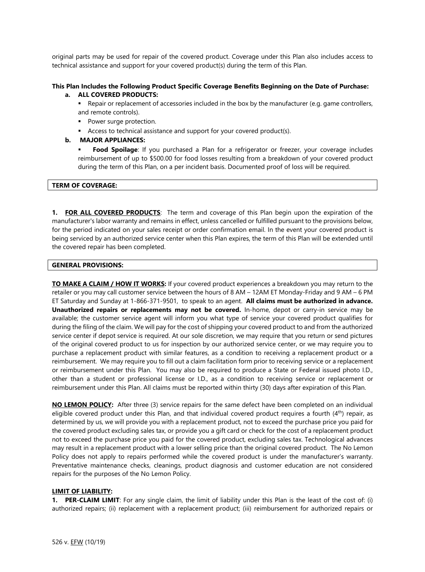original parts may be used for repair of the covered product. Coverage under this Plan also includes access to technical assistance and support for your covered product(s) during the term of this Plan.

#### **This Plan Includes the Following Product Specific Coverage Benefits Beginning on the Date of Purchase: a. ALL COVERED PRODUCTS:**

■ Repair or replacement of accessories included in the box by the manufacturer (e.g. game controllers, and remote controls).

- Power surge protection.
- Access to technical assistance and support for your covered product(s).

### **b. MAJOR APPLIANCES:**

Food Spoilage: If you purchased a Plan for a refrigerator or freezer, your coverage includes reimbursement of up to \$500.00 for food losses resulting from a breakdown of your covered product during the term of this Plan, on a per incident basis. Documented proof of loss will be required.

### **TERM OF COVERAGE:**

**1. FOR ALL COVERED PRODUCTS**: The term and coverage of this Plan begin upon the expiration of the manufacturer's labor warranty and remains in effect, unless cancelled or fulfilled pursuant to the provisions below, for the period indicated on your sales receipt or order confirmation email. In the event your covered product is being serviced by an authorized service center when this Plan expires, the term of this Plan will be extended until the covered repair has been completed.

### **GENERAL PROVISIONS:**

**TO MAKE A CLAIM / HOW IT WORKS:** If your covered product experiences a breakdown you may return to the retailer or you may call customer service between the hours of 8 AM – 12AM ET Monday-Friday and 9 AM – 6 PM ET Saturday and Sunday at 1-866-371-9501, to speak to an agent. **All claims must be authorized in advance. Unauthorized repairs or replacements may not be covered.** In-home, depot or carry-in service may be available; the customer service agent will inform you what type of service your covered product qualifies for during the filing of the claim. We will pay for the cost of shipping your covered product to and from the authorized service center if depot service is required. At our sole discretion, we may require that you return or send pictures of the original covered product to us for inspection by our authorized service center, or we may require you to purchase a replacement product with similar features, as a condition to receiving a replacement product or a reimbursement. We may require you to fill out a claim facilitation form prior to receiving service or a replacement or reimbursement under this Plan. You may also be required to produce a State or Federal issued photo I.D., other than a student or professional license or I.D., as a condition to receiving service or replacement or reimbursement under this Plan. All claims must be reported within thirty (30) days after expiration of this Plan.

**NO LEMON POLICY:** After three (3) service repairs for the same defect have been completed on an individual eligible covered product under this Plan, and that individual covered product requires a fourth (4<sup>th</sup>) repair, as determined by us, we will provide you with a replacement product, not to exceed the purchase price you paid for the covered product excluding sales tax, or provide you a gift card or check for the cost of a replacement product not to exceed the purchase price you paid for the covered product, excluding sales tax. Technological advances may result in a replacement product with a lower selling price than the original covered product. The No Lemon Policy does not apply to repairs performed while the covered product is under the manufacturer's warranty. Preventative maintenance checks, cleanings, product diagnosis and customer education are not considered repairs for the purposes of the No Lemon Policy.

### **LIMIT OF LIABILITY:**

**1. PER-CLAIM LIMIT**: For any single claim, the limit of liability under this Plan is the least of the cost of: (i) authorized repairs; (ii) replacement with a replacement product; (iii) reimbursement for authorized repairs or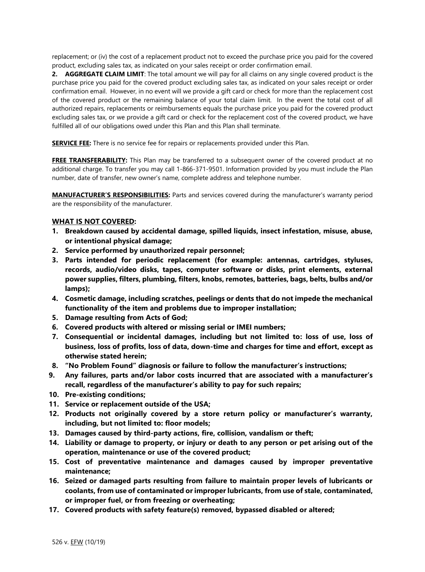replacement; or (iv) the cost of a replacement product not to exceed the purchase price you paid for the covered product, excluding sales tax, as indicated on your sales receipt or order confirmation email.

**2. AGGREGATE CLAIM LIMIT**: The total amount we will pay for all claims on any single covered product is the purchase price you paid for the covered product excluding sales tax, as indicated on your sales receipt or order confirmation email. However, in no event will we provide a gift card or check for more than the replacement cost of the covered product or the remaining balance of your total claim limit. In the event the total cost of all authorized repairs, replacements or reimbursements equals the purchase price you paid for the covered product excluding sales tax, or we provide a gift card or check for the replacement cost of the covered product, we have fulfilled all of our obligations owed under this Plan and this Plan shall terminate.

**SERVICE FEE:** There is no service fee for repairs or replacements provided under this Plan.

**FREE TRANSFERABILITY:** This Plan may be transferred to a subsequent owner of the covered product at no additional charge. To transfer you may call 1-866-371-9501. Information provided by you must include the Plan number, date of transfer, new owner's name, complete address and telephone number.

**MANUFACTURER'S RESPONSIBILITIES:** Parts and services covered during the manufacturer's warranty period are the responsibility of the manufacturer.

# **WHAT IS NOT COVERED:**

- **1. Breakdown caused by accidental damage, spilled liquids, insect infestation, misuse, abuse, or intentional physical damage;**
- **2. Service performed by unauthorized repair personnel;**
- **3. Parts intended for periodic replacement (for example: antennas, cartridges, styluses, records, audio/video disks, tapes, computer software or disks, print elements, external power supplies, filters, plumbing, filters, knobs, remotes, batteries, bags, belts, bulbs and/or lamps);**
- **4. Cosmetic damage, including scratches, peelings or dents that do not impede the mechanical functionality of the item and problems due to improper installation;**
- **5. Damage resulting from Acts of God;**
- **6. Covered products with altered or missing serial or IMEI numbers;**
- **7. Consequential or incidental damages, including but not limited to: loss of use, loss of business, loss of profits, loss of data, down-time and charges for time and effort, except as otherwise stated herein;**
- **8. "No Problem Found" diagnosis or failure to follow the manufacturer's instructions;**
- **9. Any failures, parts and/or labor costs incurred that are associated with a manufacturer's recall, regardless of the manufacturer's ability to pay for such repairs;**
- **10. Pre-existing conditions;**
- **11. Service or replacement outside of the USA;**
- **12. Products not originally covered by a store return policy or manufacturer's warranty, including, but not limited to: floor models;**
- **13. Damages caused by third-party actions, fire, collision, vandalism or theft;**
- **14. Liability or damage to property, or injury or death to any person or pet arising out of the operation, maintenance or use of the covered product;**
- **15. Cost of preventative maintenance and damages caused by improper preventative maintenance;**
- **16. Seized or damaged parts resulting from failure to maintain proper levels of lubricants or coolants, from use of contaminated or improper lubricants, from use of stale, contaminated, or improper fuel, or from freezing or overheating;**
- **17. Covered products with safety feature(s) removed, bypassed disabled or altered;**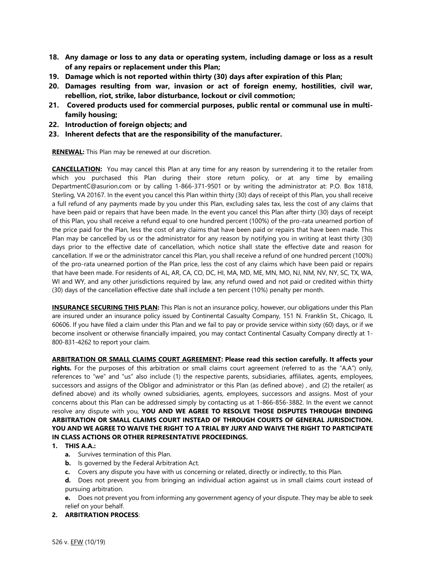- **18. Any damage or loss to any data or operating system, including damage or loss as a result of any repairs or replacement under this Plan;**
- **19. Damage which is not reported within thirty (30) days after expiration of this Plan;**
- **20. Damages resulting from war, invasion or act of foreign enemy, hostilities, civil war, rebellion, riot, strike, labor disturbance, lockout or civil commotion;**
- **21. Covered products used for commercial purposes, public rental or communal use in multifamily housing;**
- **22. Introduction of foreign objects; and**
- **23. Inherent defects that are the responsibility of the manufacturer.**

**RENEWAL:** This Plan may be renewed at our discretion.

**CANCELLATION:** You may cancel this Plan at any time for any reason by surrendering it to the retailer from which you purchased this Plan during their store return policy, or at any time by emailing DepartmentC@asurion.com or by calling 1-866-371-9501 or by writing the administrator at: P.O. Box 1818, Sterling, VA 20167. In the event you cancel this Plan within thirty (30) days of receipt of this Plan, you shall receive a full refund of any payments made by you under this Plan, excluding sales tax, less the cost of any claims that have been paid or repairs that have been made. In the event you cancel this Plan after thirty (30) days of receipt of this Plan, you shall receive a refund equal to one hundred percent (100%) of the pro-rata unearned portion of the price paid for the Plan, less the cost of any claims that have been paid or repairs that have been made. This Plan may be cancelled by us or the administrator for any reason by notifying you in writing at least thirty (30) days prior to the effective date of cancellation, which notice shall state the effective date and reason for cancellation. If we or the administrator cancel this Plan, you shall receive a refund of one hundred percent (100%) of the pro-rata unearned portion of the Plan price, less the cost of any claims which have been paid or repairs that have been made. For residents of AL, AR, CA, CO, DC, HI, MA, MD, ME, MN, MO, NJ, NM, NV, NY, SC, TX, WA, WI and WY, and any other jurisdictions required by law, any refund owed and not paid or credited within thirty (30) days of the cancellation effective date shall include a ten percent (10%) penalty per month.

**INSURANCE SECURING THIS PLAN:** This Plan is not an insurance policy, however, our obligations under this Plan are insured under an insurance policy issued by Continental Casualty Company, 151 N. Franklin St., Chicago, IL 60606. If you have filed a claim under this Plan and we fail to pay or provide service within sixty (60) days, or if we become insolvent or otherwise financially impaired, you may contact Continental Casualty Company directly at 1- 800-831-4262 to report your claim.

**ARBITRATION OR SMALL CLAIMS COURT AGREEMENT: Please read this section carefully. It affects your rights.** For the purposes of this arbitration or small claims court agreement (referred to as the "A.A") only, references to "we" and "us" also include (1) the respective parents, subsidiaries, affiliates, agents, employees, successors and assigns of the Obligor and administrator or this Plan (as defined above) , and (2) the retailer( as defined above) and its wholly owned subsidiaries, agents, employees, successors and assigns. Most of your concerns about this Plan can be addressed simply by contacting us at 1-866-856-3882. In the event we cannot resolve any dispute with you, **YOU AND WE AGREE TO RESOLVE THOSE DISPUTES THROUGH BINDING ARBITRATION OR SMALL CLAIMS COURT INSTEAD OF THROUGH COURTS OF GENERAL JURISDICTION. YOU AND WE AGREE TO WAIVE THE RIGHT TO A TRIAL BY JURY AND WAIVE THE RIGHT TO PARTICIPATE IN CLASS ACTIONS OR OTHER REPRESENTATIVE PROCEEDINGS.**

# **1. THIS A.A.:**

- **a.** Survives termination of this Plan.
- **b.** Is governed by the Federal Arbitration Act.
- **c.** Covers any dispute you have with us concerning or related, directly or indirectly, to this Plan.
- **d.** Does not prevent you from bringing an individual action against us in small claims court instead of pursuing arbitration.
- **e.** Does not prevent you from informing any government agency of your dispute. They may be able to seek relief on your behalf.
- **2. ARBITRATION PROCESS**: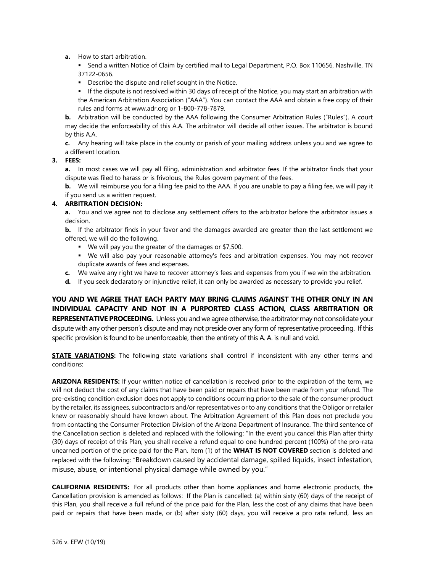**a.** How to start arbitration.

**EXECT** Send a written Notice of Claim by certified mail to Legal Department, P.O. Box 110656, Nashville, TN 37122-0656.

■ Describe the dispute and relief sought in the Notice.

▪ If the dispute is not resolved within 30 days of receipt of the Notice, you may start an arbitration with the American Arbitration Association ("AAA"). You can contact the AAA and obtain a free copy of their rules and forms at www.adr.org or 1-800-778-7879.

**b.** Arbitration will be conducted by the AAA following the Consumer Arbitration Rules ("Rules"). A court may decide the enforceability of this A.A. The arbitrator will decide all other issues. The arbitrator is bound by this A.A.

**c.** Any hearing will take place in the county or parish of your mailing address unless you and we agree to a different location.

### **3. FEES:**

**a.** In most cases we will pay all filing, administration and arbitrator fees. If the arbitrator finds that your dispute was filed to harass or is frivolous, the Rules govern payment of the fees.

**b.** We will reimburse you for a filing fee paid to the AAA. If you are unable to pay a filing fee, we will pay it if you send us a written request.

# **4. ARBITRATION DECISION:**

**a.** You and we agree not to disclose any settlement offers to the arbitrator before the arbitrator issues a decision.

**b.** If the arbitrator finds in your favor and the damages awarded are greater than the last settlement we offered, we will do the following.

- We will pay you the greater of the damages or \$7,500.
- **•** We will also pay your reasonable attorney's fees and arbitration expenses. You may not recover duplicate awards of fees and expenses.
- **c.** We waive any right we have to recover attorney's fees and expenses from you if we win the arbitration.
- **d.** If you seek declaratory or injunctive relief, it can only be awarded as necessary to provide you relief.

**YOU AND WE AGREE THAT EACH PARTY MAY BRING CLAIMS AGAINST THE OTHER ONLY IN AN INDIVIDUAL CAPACITY AND NOT IN A PURPORTED CLASS ACTION, CLASS ARBITRATION OR REPRESENTATIVE PROCEEDING.** Unless you and we agree otherwise, the arbitrator may not consolidate your dispute with any other person's dispute and may not preside over any form of representative proceeding. If this specific provision is found to be unenforceable, then the entirety of this A. A. is null and void.

**STATE VARIATIONS:** The following state variations shall control if inconsistent with any other terms and conditions:

**ARIZONA RESIDENTS:** If your written notice of cancellation is received prior to the expiration of the term, we will not deduct the cost of any claims that have been paid or repairs that have been made from your refund. The pre-existing condition exclusion does not apply to conditions occurring prior to the sale of the consumer product by the retailer, its assignees, subcontractors and/or representatives or to any conditions that the Obligor or retailer knew or reasonably should have known about. The Arbitration Agreement of this Plan does not preclude you from contacting the Consumer Protection Division of the Arizona Department of Insurance. The third sentence of the Cancellation section is deleted and replaced with the following: "In the event you cancel this Plan after thirty (30) days of receipt of this Plan, you shall receive a refund equal to one hundred percent (100%) of the pro-rata unearned portion of the price paid for the Plan. Item (1) of the **WHAT IS NOT COVERED** section is deleted and replaced with the following: "Breakdown caused by accidental damage, spilled liquids, insect infestation, misuse, abuse, or intentional physical damage while owned by you."

**CALIFORNIA RESIDENTS:** For all products other than home appliances and home electronic products, the Cancellation provision is amended as follows: If the Plan is cancelled: (a) within sixty (60) days of the receipt of this Plan, you shall receive a full refund of the price paid for the Plan, less the cost of any claims that have been paid or repairs that have been made, or (b) after sixty (60) days, you will receive a pro rata refund, less an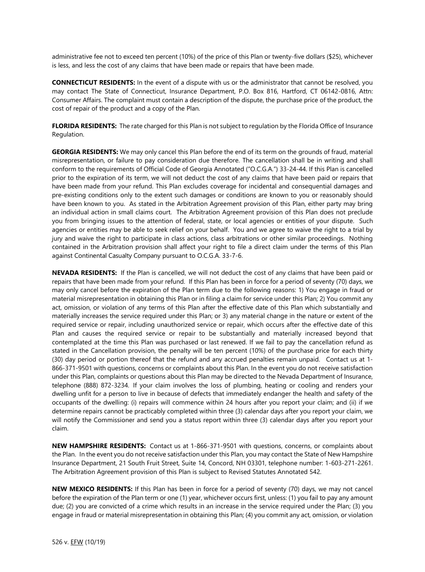administrative fee not to exceed ten percent (10%) of the price of this Plan or twenty-five dollars (\$25), whichever is less, and less the cost of any claims that have been made or repairs that have been made.

**CONNECTICUT RESIDENTS:** In the event of a dispute with us or the administrator that cannot be resolved, you may contact The State of Connecticut, Insurance Department, P.O. Box 816, Hartford, CT 06142-0816, Attn: Consumer Affairs. The complaint must contain a description of the dispute, the purchase price of the product, the cost of repair of the product and a copy of the Plan.

**FLORIDA RESIDENTS:** The rate charged for this Plan is not subject to regulation by the Florida Office of Insurance Regulation.

**GEORGIA RESIDENTS:** We may only cancel this Plan before the end of its term on the grounds of fraud, material misrepresentation, or failure to pay consideration due therefore. The cancellation shall be in writing and shall conform to the requirements of Official Code of Georgia Annotated ("O.C.G.A.") 33-24-44. If this Plan is cancelled prior to the expiration of its term, we will not deduct the cost of any claims that have been paid or repairs that have been made from your refund. This Plan excludes coverage for incidental and consequential damages and pre-existing conditions only to the extent such damages or conditions are known to you or reasonably should have been known to you. As stated in the Arbitration Agreement provision of this Plan, either party may bring an individual action in small claims court. The Arbitration Agreement provision of this Plan does not preclude you from bringing issues to the attention of federal, state, or local agencies or entities of your dispute. Such agencies or entities may be able to seek relief on your behalf. You and we agree to waive the right to a trial by jury and waive the right to participate in class actions, class arbitrations or other similar proceedings. Nothing contained in the Arbitration provision shall affect your right to file a direct claim under the terms of this Plan against Continental Casualty Company pursuant to O.C.G.A. 33-7-6.

**NEVADA RESIDENTS:** If the Plan is cancelled, we will not deduct the cost of any claims that have been paid or repairs that have been made from your refund. If this Plan has been in force for a period of seventy (70) days, we may only cancel before the expiration of the Plan term due to the following reasons: 1) You engage in fraud or material misrepresentation in obtaining this Plan or in filing a claim for service under this Plan; 2) You commit any act, omission, or violation of any terms of this Plan after the effective date of this Plan which substantially and materially increases the service required under this Plan; or 3) any material change in the nature or extent of the required service or repair, including unauthorized service or repair, which occurs after the effective date of this Plan and causes the required service or repair to be substantially and materially increased beyond that contemplated at the time this Plan was purchased or last renewed. If we fail to pay the cancellation refund as stated in the Cancellation provision, the penalty will be ten percent (10%) of the purchase price for each thirty (30) day period or portion thereof that the refund and any accrued penalties remain unpaid. Contact us at 1- 866-371-9501 with questions, concerns or complaints about this Plan. In the event you do not receive satisfaction under this Plan, complaints or questions about this Plan may be directed to the Nevada Department of Insurance, telephone (888) 872-3234. If your claim involves the loss of plumbing, heating or cooling and renders your dwelling unfit for a person to live in because of defects that immediately endanger the health and safety of the occupants of the dwelling: (i) repairs will commence within 24 hours after you report your claim; and (ii) if we determine repairs cannot be practicably completed within three (3) calendar days after you report your claim, we will notify the Commissioner and send you a status report within three (3) calendar days after you report your claim.

**NEW HAMPSHIRE RESIDENTS:** Contact us at 1-866-371-9501 with questions, concerns, or complaints about the Plan. In the event you do not receive satisfaction under this Plan, you may contact the State of New Hampshire Insurance Department, 21 South Fruit Street, Suite 14, Concord, NH 03301, telephone number: 1-603-271-2261. The Arbitration Agreement provision of this Plan is subject to Revised Statutes Annotated 542.

**NEW MEXICO RESIDENTS:** If this Plan has been in force for a period of seventy (70) days, we may not cancel before the expiration of the Plan term or one (1) year, whichever occurs first, unless: (1) you fail to pay any amount due; (2) you are convicted of a crime which results in an increase in the service required under the Plan; (3) you engage in fraud or material misrepresentation in obtaining this Plan; (4) you commit any act, omission, or violation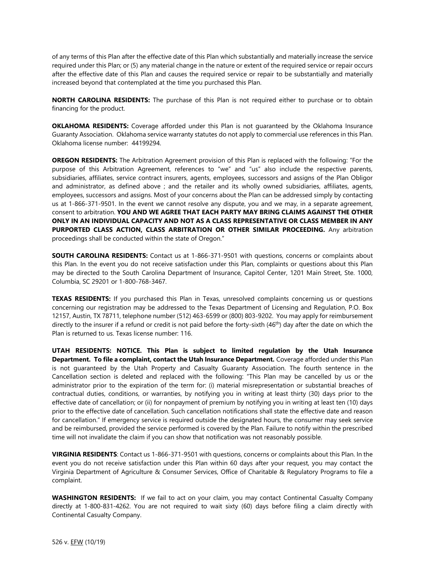of any terms of this Plan after the effective date of this Plan which substantially and materially increase the service required under this Plan; or (5) any material change in the nature or extent of the required service or repair occurs after the effective date of this Plan and causes the required service or repair to be substantially and materially increased beyond that contemplated at the time you purchased this Plan.

**NORTH CAROLINA RESIDENTS:** The purchase of this Plan is not required either to purchase or to obtain financing for the product.

**OKLAHOMA RESIDENTS:** Coverage afforded under this Plan is not guaranteed by the Oklahoma Insurance Guaranty Association. Oklahoma service warranty statutes do not apply to commercial use references in this Plan. Oklahoma license number: 44199294.

**OREGON RESIDENTS:** The Arbitration Agreement provision of this Plan is replaced with the following: "For the purpose of this Arbitration Agreement, references to "we" and "us" also include the respective parents, subsidiaries, affiliates, service contract insurers, agents, employees, successors and assigns of the Plan Obligor and administrator, as defined above ; and the retailer and its wholly owned subsidiaries, affiliates, agents, employees, successors and assigns. Most of your concerns about the Plan can be addressed simply by contacting us at 1-866-371-9501. In the event we cannot resolve any dispute, you and we may, in a separate agreement, consent to arbitration. **YOU AND WE AGREE THAT EACH PARTY MAY BRING CLAIMS AGAINST THE OTHER ONLY IN AN INDIVIDUAL CAPACITY AND NOT AS A CLASS REPRESENTATIVE OR CLASS MEMBER IN ANY PURPORTED CLASS ACTION, CLASS ARBITRATION OR OTHER SIMILAR PROCEEDING.** Any arbitration proceedings shall be conducted within the state of Oregon."

**SOUTH CAROLINA RESIDENTS:** Contact us at 1-866-371-9501 with questions, concerns or complaints about this Plan. In the event you do not receive satisfaction under this Plan, complaints or questions about this Plan may be directed to the South Carolina Department of Insurance, Capitol Center, 1201 Main Street, Ste. 1000, Columbia, SC 29201 or 1-800-768-3467.

**TEXAS RESIDENTS:** If you purchased this Plan in Texas, unresolved complaints concerning us or questions concerning our registration may be addressed to the Texas Department of Licensing and Regulation, P.O. Box 12157, Austin, TX 78711, telephone number (512) 463-6599 or (800) 803-9202. You may apply for reimbursement directly to the insurer if a refund or credit is not paid before the forty-sixth (46<sup>th</sup>) day after the date on which the Plan is returned to us. Texas license number: 116.

**UTAH RESIDENTS: NOTICE. This Plan is subject to limited regulation by the Utah Insurance Department. To file a complaint, contact the Utah Insurance Department.** Coverage afforded under this Plan is not guaranteed by the Utah Property and Casualty Guaranty Association. The fourth sentence in the Cancellation section is deleted and replaced with the following: "This Plan may be cancelled by us or the administrator prior to the expiration of the term for: (i) material misrepresentation or substantial breaches of contractual duties, conditions, or warranties, by notifying you in writing at least thirty (30) days prior to the effective date of cancellation; or (ii) for nonpayment of premium by notifying you in writing at least ten (10) days prior to the effective date of cancellation. Such cancellation notifications shall state the effective date and reason for cancellation." If emergency service is required outside the designated hours, the consumer may seek service and be reimbursed, provided the service performed is covered by the Plan. Failure to notify within the prescribed time will not invalidate the claim if you can show that notification was not reasonably possible.

**VIRGINIA RESIDENTS**: Contact us 1-866-371-9501 with questions, concerns or complaints about this Plan. In the event you do not receive satisfaction under this Plan within 60 days after your request, you may contact the Virginia Department of Agriculture & Consumer Services, Office of Charitable & Regulatory Programs to file a complaint.

**WASHINGTON RESIDENTS:** If we fail to act on your claim, you may contact Continental Casualty Company directly at 1-800-831-4262. You are not required to wait sixty (60) days before filing a claim directly with Continental Casualty Company.